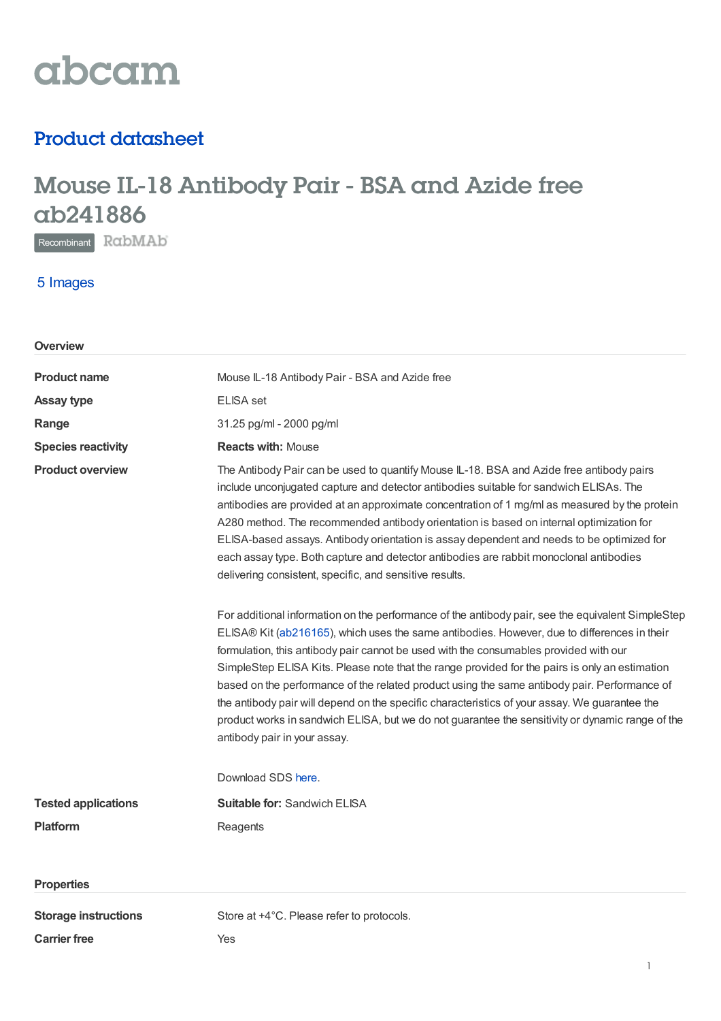

## Product datasheet

# Mouse IL-18 Antibody Pair - BSA and Azide free ab241886

Recombinant RabMAb

### 5 Images

| Overview                    |                                                                                                                                                                                                                                                                                                                                                                                                                                                                                                                                                                                                                                                                                                                                  |
|-----------------------------|----------------------------------------------------------------------------------------------------------------------------------------------------------------------------------------------------------------------------------------------------------------------------------------------------------------------------------------------------------------------------------------------------------------------------------------------------------------------------------------------------------------------------------------------------------------------------------------------------------------------------------------------------------------------------------------------------------------------------------|
| <b>Product name</b>         | Mouse IL-18 Antibody Pair - BSA and Azide free                                                                                                                                                                                                                                                                                                                                                                                                                                                                                                                                                                                                                                                                                   |
| <b>Assay type</b>           | <b>ELISA</b> set                                                                                                                                                                                                                                                                                                                                                                                                                                                                                                                                                                                                                                                                                                                 |
| Range                       | 31.25 pg/ml - 2000 pg/ml                                                                                                                                                                                                                                                                                                                                                                                                                                                                                                                                                                                                                                                                                                         |
| <b>Species reactivity</b>   | <b>Reacts with: Mouse</b>                                                                                                                                                                                                                                                                                                                                                                                                                                                                                                                                                                                                                                                                                                        |
| <b>Product overview</b>     | The Antibody Pair can be used to quantify Mouse IL-18. BSA and Azide free antibody pairs<br>include unconjugated capture and detector antibodies suitable for sandwich ELISAs. The<br>antibodies are provided at an approximate concentration of 1 mg/ml as measured by the protein<br>A280 method. The recommended antibody orientation is based on internal optimization for<br>ELISA-based assays. Antibody orientation is assay dependent and needs to be optimized for<br>each assay type. Both capture and detector antibodies are rabbit monoclonal antibodies<br>delivering consistent, specific, and sensitive results.                                                                                                 |
|                             | For additional information on the performance of the antibody pair, see the equivalent SimpleStep<br>ELISA® Kit (ab216165), which uses the same antibodies. However, due to differences in their<br>formulation, this antibody pair cannot be used with the consumables provided with our<br>SimpleStep ELISA Kits. Please note that the range provided for the pairs is only an estimation<br>based on the performance of the related product using the same antibody pair. Performance of<br>the antibody pair will depend on the specific characteristics of your assay. We guarantee the<br>product works in sandwich ELISA, but we do not guarantee the sensitivity or dynamic range of the<br>antibody pair in your assay. |
|                             | Download SDS here.                                                                                                                                                                                                                                                                                                                                                                                                                                                                                                                                                                                                                                                                                                               |
| <b>Tested applications</b>  | <b>Suitable for: Sandwich ELISA</b>                                                                                                                                                                                                                                                                                                                                                                                                                                                                                                                                                                                                                                                                                              |
| <b>Platform</b>             | Reagents                                                                                                                                                                                                                                                                                                                                                                                                                                                                                                                                                                                                                                                                                                                         |
|                             |                                                                                                                                                                                                                                                                                                                                                                                                                                                                                                                                                                                                                                                                                                                                  |
| <b>Properties</b>           |                                                                                                                                                                                                                                                                                                                                                                                                                                                                                                                                                                                                                                                                                                                                  |
| <b>Storage instructions</b> | Store at +4°C. Please refer to protocols.                                                                                                                                                                                                                                                                                                                                                                                                                                                                                                                                                                                                                                                                                        |
| <b>Carrier free</b>         | Yes                                                                                                                                                                                                                                                                                                                                                                                                                                                                                                                                                                                                                                                                                                                              |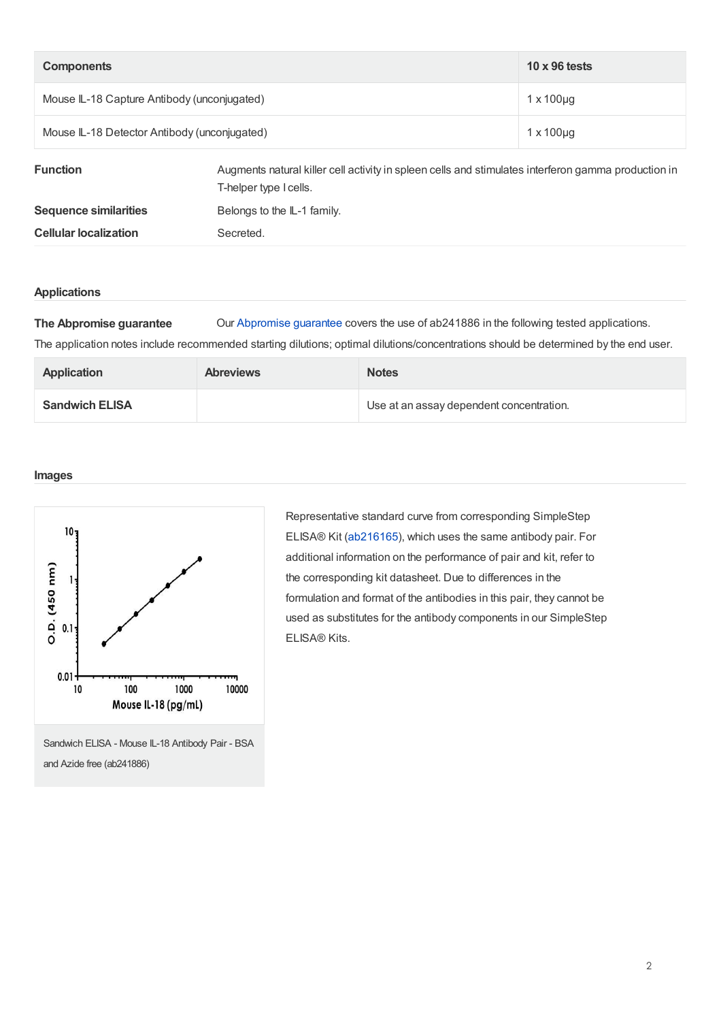| <b>Components</b>                            |                                                                                                                               | $10 \times 96$ tests |
|----------------------------------------------|-------------------------------------------------------------------------------------------------------------------------------|----------------------|
| Mouse IL-18 Capture Antibody (unconjugated)  |                                                                                                                               | $1 \times 100 \mu q$ |
| Mouse IL-18 Detector Antibody (unconjugated) |                                                                                                                               | $1 \times 100 \mu q$ |
| <b>Function</b>                              | Augments natural killer cell activity in spleen cells and stimulates interferon gamma production in<br>T-helper type I cells. |                      |
| <b>Sequence similarities</b>                 | Belongs to the IL-1 family.                                                                                                   |                      |

**Cellular localization** Secreted.

#### **Applications**

**The Abpromise guarantee** Our [Abpromise](https://www.abcam.com/abpromise) guarantee covers the use of ab241886 in the following tested applications. The application notes include recommended starting dilutions; optimal dilutions/concentrations should be determined by the end user.

| <b>Application</b>    | <b>Abreviews</b> | <b>Notes</b>                             |
|-----------------------|------------------|------------------------------------------|
| <b>Sandwich ELISA</b> |                  | Use at an assay dependent concentration. |

#### **Images**



Sandwich ELISA - Mouse IL-18 Antibody Pair - BSA and Azide free (ab241886)

Representative standard curve from corresponding SimpleStep ELISA® Kit [\(ab216165](https://www.abcam.com/ab216165.html)), which uses the same antibody pair. For additional information on the performance of pair and kit, refer to the corresponding kit datasheet. Due to differences in the formulation and format of the antibodies in this pair, they cannot be used as substitutes for the antibody components in our SimpleStep ELISA® Kits.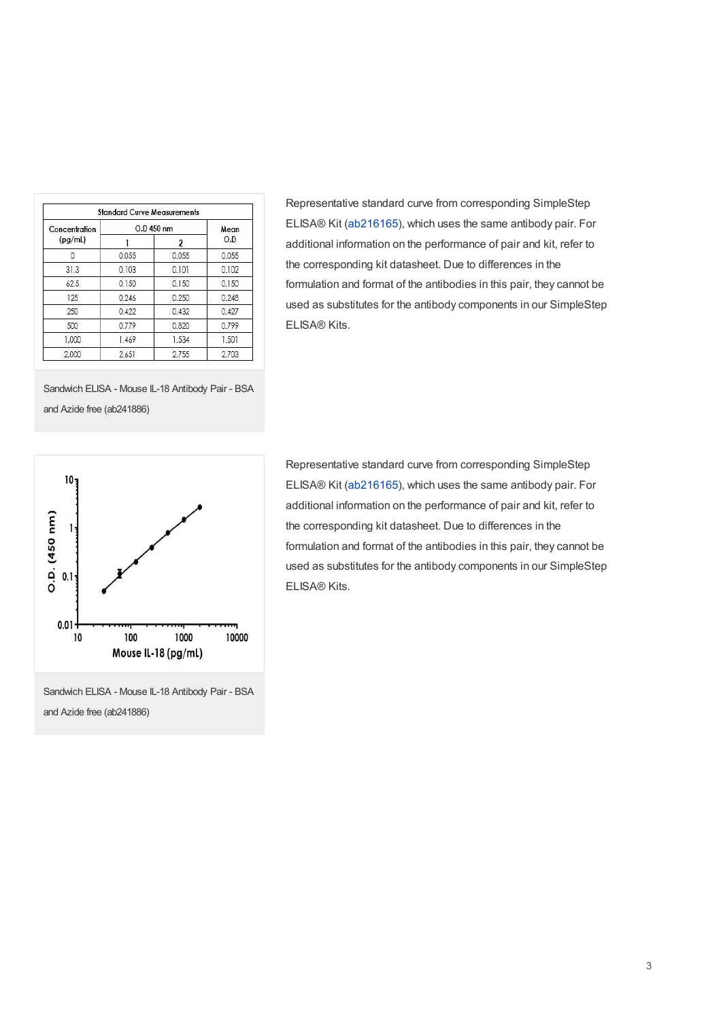| Concentration<br>(pg/ml) | O.D 450 nm |       | Mean  |
|--------------------------|------------|-------|-------|
|                          |            | 2     | O.D   |
|                          | 0.055      | 0.055 | 0.055 |
| 31.3                     | 0.103      | 0.101 | 0.102 |
| 62.5                     | 0.150      | 0.150 | 0.150 |
| 125                      | 0.246      | 0.250 | 0.248 |
| 250                      | 0.422      | 0.432 | 0.427 |
| 500                      | 0.779      | 0.820 | 0.799 |
| 1.000                    | 1.469      | 1.534 | 1.501 |
| 2,000                    | 2.651      | 2.755 | 2.703 |

Representative standard curve from corresponding SimpleStep ELISA® Kit [\(ab216165](https://www.abcam.com/ab216165.html)), which uses the same antibody pair. For additional information on the performance of pair and kit, refer to the corresponding kit datasheet. Due to differences in the formulation and format of the antibodies in this pair, they cannot be used as substitutes for the antibody components in our SimpleStep ELISA® Kits.





Sandwich ELISA - Mouse IL-18 Antibody Pair - BSA and Azide free (ab241886)

Representative standard curve from corresponding SimpleStep ELISA® Kit [\(ab216165](https://www.abcam.com/ab216165.html)), which uses the same antibody pair. For additional information on the performance of pair and kit, refer to the corresponding kit datasheet. Due to differences in the formulation and format of the antibodies in this pair, they cannot be used as substitutes for the antibody components in our SimpleStep ELISA® Kits.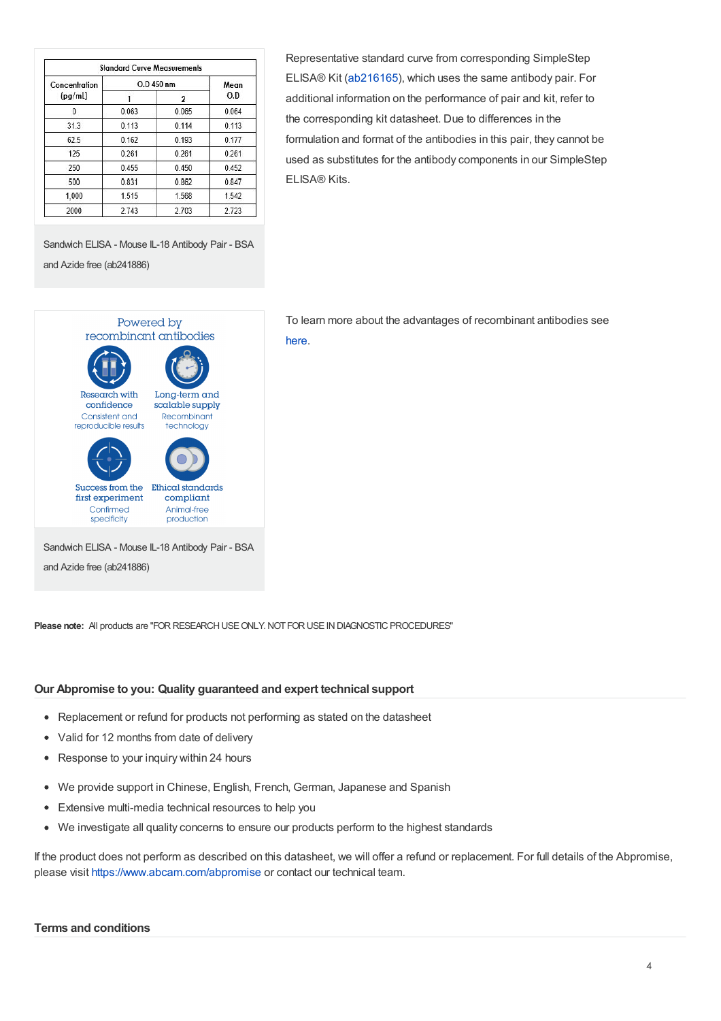| Concentration<br>(pq/ml) | O.D 450 nm |       | Mean  |
|--------------------------|------------|-------|-------|
|                          |            | 2     | O.D   |
| 0                        | 0.063      | 0.065 | 0.064 |
| 31.3                     | 0.113      | 0.114 | 0.113 |
| 62.5                     | 0.162      | 0.193 | 0.177 |
| 125                      | 0.261      | 0.261 | 0.261 |
| 250                      | 0.455      | 0.450 | 0.452 |
| 500                      | 0.831      | 0.862 | 0.847 |
| 1.000                    | 1.515      | 1.568 | 1.542 |
| 2000                     | 2.743      | 2.703 | 2.723 |

Representative standard curve from corresponding SimpleStep ELISA® Kit [\(ab216165](https://www.abcam.com/ab216165.html)), which uses the same antibody pair. For additional information on the performance of pair and kit, refer to the corresponding kit datasheet. Due to differences in the formulation and format of the antibodies in this pair, they cannot be used as substitutes for the antibody components in our SimpleStep ELISA® Kits.

Sandwich ELISA - Mouse IL-18 Antibody Pair - BSA and Azide free (ab241886)



To learn more about the advantages of recombinant antibodies see [here](https://www.abcam.com/primary-antibodies/recombinant-antibodies).

**Please note:** All products are "FOR RESEARCH USE ONLY. NOT FOR USE IN DIAGNOSTIC PROCEDURES"

#### **Our Abpromise to you: Quality guaranteed and expert technical support**

- Replacement or refund for products not performing as stated on the datasheet
- Valid for 12 months from date of delivery
- Response to your inquiry within 24 hours
- We provide support in Chinese, English, French, German, Japanese and Spanish
- Extensive multi-media technical resources to help you
- We investigate all quality concerns to ensure our products perform to the highest standards

If the product does not perform as described on this datasheet, we will offer a refund or replacement. For full details of the Abpromise, please visit <https://www.abcam.com/abpromise> or contact our technical team.

#### **Terms and conditions**